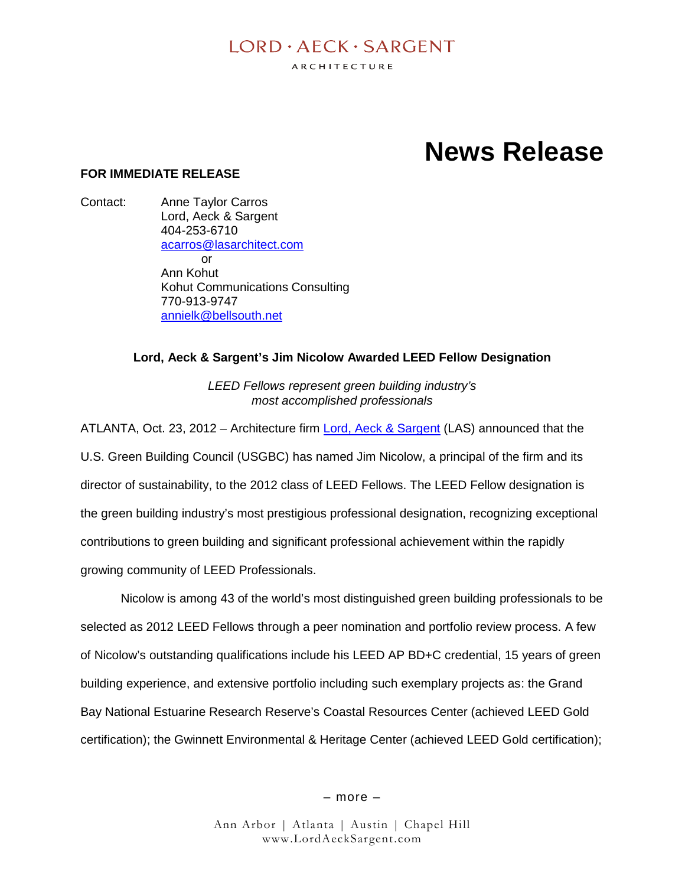## $I$  ORD  $\cdot$  AECK  $\cdot$  SARGENT

ARCHITECTURE

# **News Release**

#### **FOR IMMEDIATE RELEASE**

Contact: Ann[e Taylor Carros](mailto:annielk@bellsouth.net) [Lord, Aeck & S](http://www.kohutcommunications.com/)argent [404-253-6710](http://twitter.com/kohutcomm) acarros@lasarchitect.com  $\alpha$ r Ann Kohut Kohut Communications Consulting 770-913-9747 annielk@bellsouth.net

#### **Lord, Aeck & Sargent's Jim Nicolow Awarded LEED Fellow Designation**

*LEED Fellows represent green building industry's most accomplished professionals*

ATLANTA, Oct. 23, 2012 – Architecture firm Lord, Aeck & Sargent (LAS) announced that the U.S. Green Building Council (USGBC) has named Jim Nicolow, a principal of the firm and its director of sustainability, to the 2012 class of LEED Fellows. The LEED Fellow designation is the green building industry's most prestigious professional designation, recognizing exceptional contributions to green building and significant professional achievement within the rapidly growing community of LEED Professionals.

Nicolow is among 43 of the world's most distinguished green building professionals to be selected as 2012 LEED Fellows through a peer nomination and portfolio review process. A few of Nicolow's outstanding qualifications include his LEED AP BD+C credential, 15 years of green building experience, and extensive portfolio including such exemplary projects as: the Grand Bay National Estuarine Research Reserve's Coastal Resources Center (achieved LEED Gold certification); the Gwinnett Environmental & Heritage Center (achieved LEED Gold certification);

– more –

Ann Arbor | Atlanta | Austin | Chapel Hill www.LordAeckSargent.com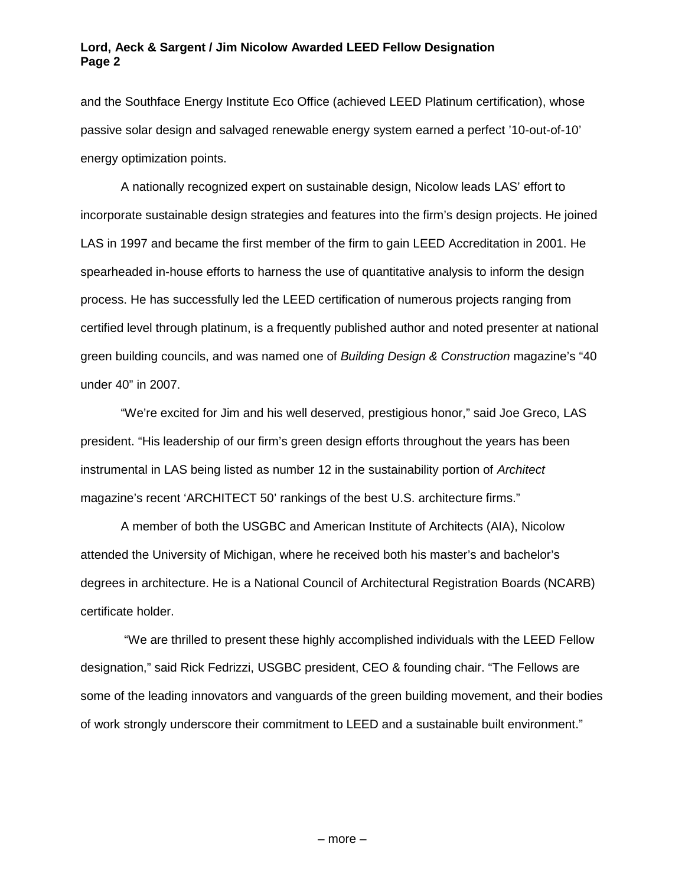#### **Lord, Aeck & Sargent / Jim Nicolow Awarded LEED Fellow Designation Page 2**

and the Southface Energy Institute Eco Office (achieved LEED Platinum certification), whose passive solar design and salvaged renewable energy system earned a perfect '10-out-of-10' energy optimization points.

A nationally recognized expert on sustainable design, Nicolow leads LAS' effort to incorporate sustainable design strategies and features into the firm's design projects. He joined LAS in 1997 and became the first member of the firm to gain LEED Accreditation in 2001. He spearheaded in-house efforts to harness the use of quantitative analysis to inform the design process. He has successfully led the LEED certification of numerous projects ranging from certified level through platinum[, is a frequently published author and no](http://www.kohutcommunications.com/)ted presenter at national green buildi[ng councils, and was named](http://twitter.com/kohutcomm) one of *[Building Design & C](http://twitter.com/kohutcomm)onstruction* magazine's "40 under 40" in 2007.

"We're [excited for Jim and his well dese](mailto:janina@emlenmedia.com])rved, prestigious honor," said Joe Greco, LAS president. "His leadership of our firm's green design efforts throughout the years has been instrumental in LAS being listed as number 12 in the sustainability portion of *Architect* magazine's recent 'ARCHITECT 50' rankings of the best U.S. architecture firms."

A member of both the USGBC and American Institute of Architects (AIA), Nicolow attended the University of Michigan, where he received both his master's and bachelor's degrees in architecture. He is a National Council of Architectural Registration Boards (NCARB) certificate holder.

"We are thrilled to present these highly accomplished individuals with the LEED Fellow designation," said Rick Fedrizzi, USGBC president, CEO & founding chair. "The Fellows are some of the leading innovators and vanguards of the green building movement, and their bodies of work strongly underscore their commitment to LEED and a sustainable built environment."